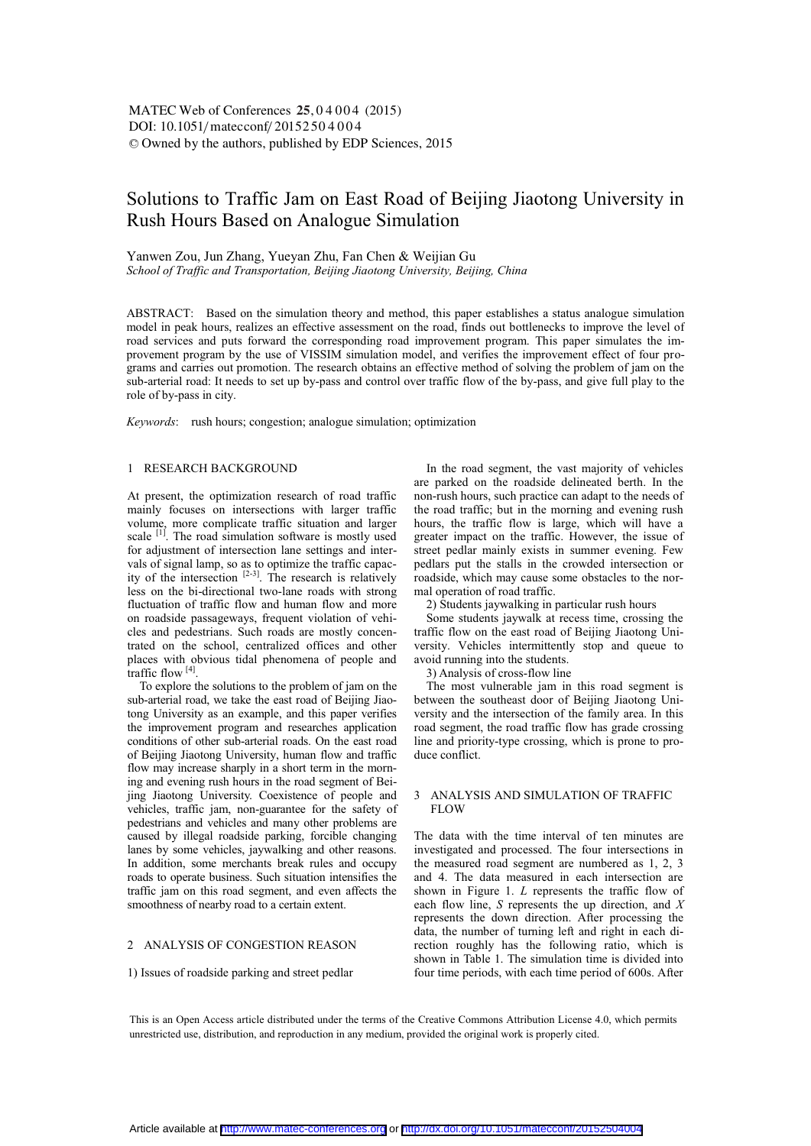# Solutions to Traffic Jam on East Road of Beijing Jiaotong University in Rush Hours Based on Analogue Simulation

Yanwen Zou, Jun Zhang, Yueyan Zhu, Fan Chen & Weijian Gu *School of Traffic and Transportation, Beijing Jiaotong University, Beijing, China* 

ABSTRACT: Based on the simulation theory and method, this paper establishes a status analogue simulation model in peak hours, realizes an effective assessment on the road, finds out bottlenecks to improve the level of road services and puts forward the corresponding road improvement program. This paper simulates the improvement program by the use of VISSIM simulation model, and verifies the improvement effect of four programs and carries out promotion. The research obtains an effective method of solving the problem of jam on the sub-arterial road: It needs to set up by-pass and control over traffic flow of the by-pass, and give full play to the role of by-pass in city.

*Keywords*: rush hours; congestion; analogue simulation; optimization

# 1 RESEARCH BACKGROUND

At present, the optimization research of road traffic mainly focuses on intersections with larger traffic volume, more complicate traffic situation and larger scale <sup>[1]</sup>. The road simulation software is mostly used for adjustment of intersection lane settings and intervals of signal lamp, so as to optimize the traffic capacity of the intersection  $[2-3]$ . The research is relatively less on the bi-directional two-lane roads with strong fluctuation of traffic flow and human flow and more on roadside passageways, frequent violation of vehicles and pedestrians. Such roads are mostly concentrated on the school, centralized offices and other places with obvious tidal phenomena of people and traffic flow [4].

To explore the solutions to the problem of jam on the sub-arterial road, we take the east road of Beijing Jiaotong University as an example, and this paper verifies the improvement program and researches application conditions of other sub-arterial roads. On the east road of Beijing Jiaotong University, human flow and traffic flow may increase sharply in a short term in the morning and evening rush hours in the road segment of Beijing Jiaotong University. Coexistence of people and vehicles, traffic jam, non-guarantee for the safety of pedestrians and vehicles and many other problems are caused by illegal roadside parking, forcible changing lanes by some vehicles, jaywalking and other reasons. In addition, some merchants break rules and occupy roads to operate business. Such situation intensifies the traffic jam on this road segment, and even affects the smoothness of nearby road to a certain extent.

# 2 ANALYSIS OF CONGESTION REASON

1) Issues of roadside parking and street pedlar

In the road segment, the vast majority of vehicles are parked on the roadside delineated berth. In the non-rush hours, such practice can adapt to the needs of the road traffic; but in the morning and evening rush hours, the traffic flow is large, which will have a greater impact on the traffic. However, the issue of street pedlar mainly exists in summer evening. Few pedlars put the stalls in the crowded intersection or roadside, which may cause some obstacles to the normal operation of road traffic.

2) Students jaywalking in particular rush hours

Some students jaywalk at recess time, crossing the traffic flow on the east road of Beijing Jiaotong University. Vehicles intermittently stop and queue to avoid running into the students.

3) Analysis of cross-flow line

The most vulnerable jam in this road segment is between the southeast door of Beijing Jiaotong University and the intersection of the family area. In this road segment, the road traffic flow has grade crossing line and priority-type crossing, which is prone to produce conflict.

# 3 ANALYSIS AND SIMULATION OF TRAFFIC FLOW

The data with the time interval of ten minutes are investigated and processed. The four intersections in the measured road segment are numbered as 1, 2, 3 and 4. The data measured in each intersection are shown in Figure 1. *L* represents the traffic flow of each flow line, *S* represents the up direction, and *X*  represents the down direction. After processing the data, the number of turning left and right in each direction roughly has the following ratio, which is shown in Table 1. The simulation time is divided into four time periods, with each time period of 600s. After

This is an Open Access article distributed under the terms of the Creative Commons Attribution License 4.0, which permits unrestricted use, distribution, and reproduction in any medium, provided the original work is properly cited.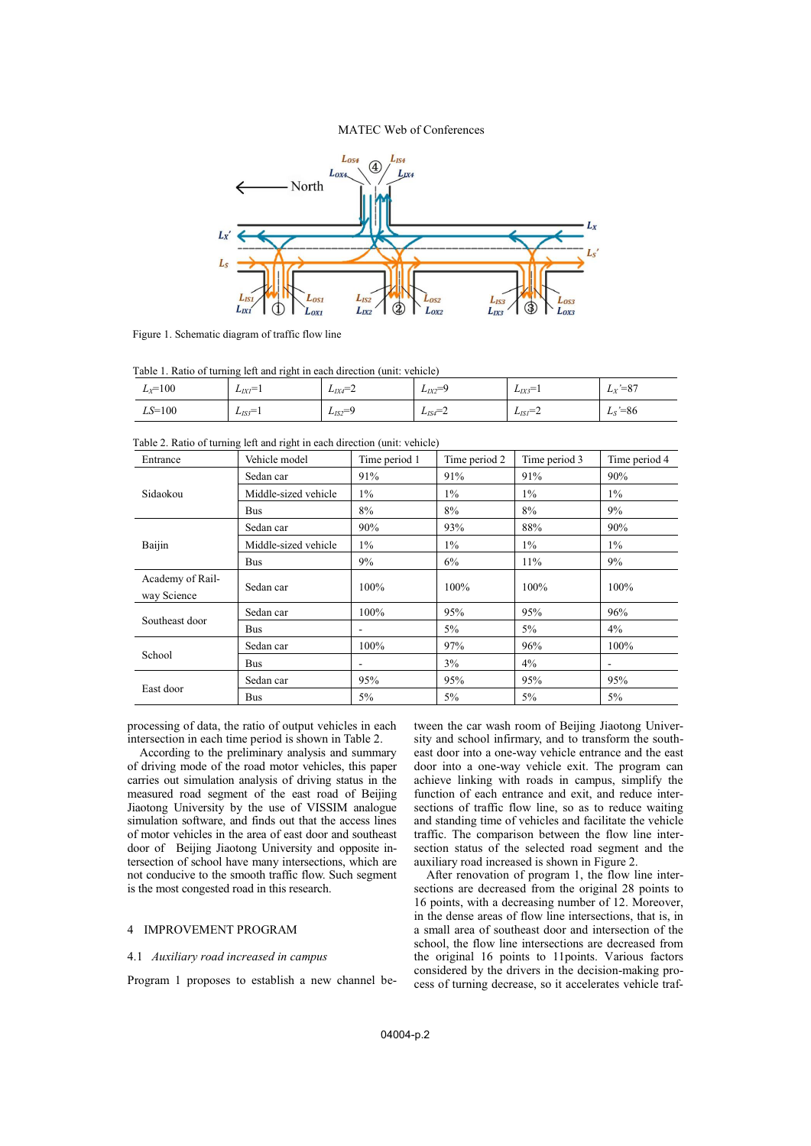### MATEC Web of Conferences



Figure 1. Schematic diagram of traffic flow line

| Table 1. Ratio of turning left and right in each direction (unit: vehicle) |               |              |               |              |            |  |  |
|----------------------------------------------------------------------------|---------------|--------------|---------------|--------------|------------|--|--|
| $L_{X}$ =100                                                               | $L_{IXI}$ =1  | $L_{IX4}=2$  | $L_{IX2}$ =   | $L_{IX3}=1$  | $L_X = 87$ |  |  |
| $LS=100$                                                                   | $L_{IS3} = 1$ | $L_{IS2}$ =0 | $L_{IS4} = 2$ | $L_{ISI}$ =2 | $L_S = 86$ |  |  |

Table 2. Ratio of turning left and right in each direction (unit: vehicle)

| Entrance                        | Vehicle model        | Time period 1 | Time period 2 | Time period 3 | Time period 4 |
|---------------------------------|----------------------|---------------|---------------|---------------|---------------|
| Sidaokou                        | Sedan car            | 91%           | 91%           | 91%           | 90%           |
|                                 | Middle-sized vehicle | $1\%$         | $1\%$         | $1\%$         | $1\%$         |
|                                 | Bus                  | 8%            | 8%            | 8%            | 9%            |
| Baijin                          | Sedan car            | 90%           | 93%           | 88%           | 90%           |
|                                 | Middle-sized vehicle | $1\%$         | $1\%$         | $1\%$         | $1\%$         |
|                                 | <b>Bus</b>           | 9%            | 6%            | $11\%$        | 9%            |
| Academy of Rail-<br>way Science | Sedan car            | 100%          | 100%          | 100%          | 100%          |
| Southeast door                  | Sedan car            | 100%          | 95%           | 95%           | 96%           |
|                                 | Bus                  |               | $5\%$         | $5\%$         | 4%            |
| School                          | Sedan car            | $100\%$       | 97%           | 96%           | $100\%$       |
|                                 | Bus                  |               | 3%            | 4%            | ۰             |
| East door                       | Sedan car            | 95%           | 95%           | 95%           | 95%           |
|                                 | <b>Bus</b>           | $5\%$         | $5\%$         | $5\%$         | $5\%$         |

processing of data, the ratio of output vehicles in each intersection in each time period is shown in Table 2.

According to the preliminary analysis and summary of driving mode of the road motor vehicles, this paper carries out simulation analysis of driving status in the measured road segment of the east road of Beijing Jiaotong University by the use of VISSIM analogue simulation software, and finds out that the access lines of motor vehicles in the area of east door and southeast door of Beijing Jiaotong University and opposite intersection of school have many intersections, which are not conducive to the smooth traffic flow. Such segment is the most congested road in this research.

# 4 IMPROVEMENT PROGRAM

#### 4.1 *Auxiliary road increased in campus*

Program 1 proposes to establish a new channel be-

tween the car wash room of Beijing Jiaotong University and school infirmary, and to transform the southeast door into a one-way vehicle entrance and the east door into a one-way vehicle exit. The program can achieve linking with roads in campus, simplify the function of each entrance and exit, and reduce intersections of traffic flow line, so as to reduce waiting and standing time of vehicles and facilitate the vehicle traffic. The comparison between the flow line intersection status of the selected road segment and the auxiliary road increased is shown in Figure 2.

After renovation of program 1, the flow line intersections are decreased from the original 28 points to 16 points, with a decreasing number of 12. Moreover, in the dense areas of flow line intersections, that is, in a small area of southeast door and intersection of the school, the flow line intersections are decreased from the original 16 points to 11points. Various factors considered by the drivers in the decision-making process of turning decrease, so it accelerates vehicle traf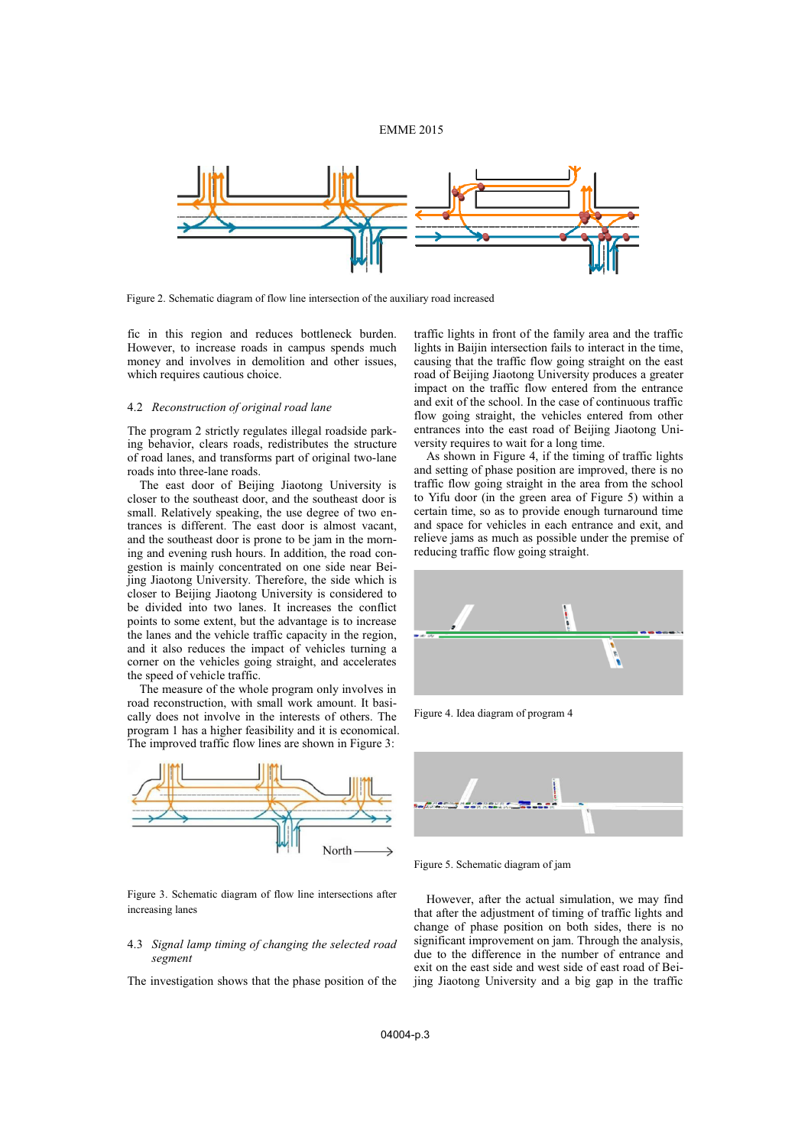EMME 2015



Figure 2. Schematic diagram of flow line intersection of the auxiliary road increased

fic in this region and reduces bottleneck burden. However, to increase roads in campus spends much money and involves in demolition and other issues, which requires cautious choice.

#### 4.2 *Reconstruction of original road lane*

The program 2 strictly regulates illegal roadside parking behavior, clears roads, redistributes the structure of road lanes, and transforms part of original two-lane roads into three-lane roads.

The east door of Beijing Jiaotong University is closer to the southeast door, and the southeast door is small. Relatively speaking, the use degree of two entrances is different. The east door is almost vacant, and the southeast door is prone to be jam in the morning and evening rush hours. In addition, the road congestion is mainly concentrated on one side near Beijing Jiaotong University. Therefore, the side which is closer to Beijing Jiaotong University is considered to be divided into two lanes. It increases the conflict points to some extent, but the advantage is to increase the lanes and the vehicle traffic capacity in the region, and it also reduces the impact of vehicles turning a corner on the vehicles going straight, and accelerates the speed of vehicle traffic.

The measure of the whole program only involves in road reconstruction, with small work amount. It basically does not involve in the interests of others. The program 1 has a higher feasibility and it is economical. The improved traffic flow lines are shown in Figure 3:



Figure 3. Schematic diagram of flow line intersections after increasing lanes

#### 4.3 *Signal lamp timing of changing the selected road segment*

The investigation shows that the phase position of the

traffic lights in front of the family area and the traffic lights in Baijin intersection fails to interact in the time, causing that the traffic flow going straight on the east road of Beijing Jiaotong University produces a greater impact on the traffic flow entered from the entrance and exit of the school. In the case of continuous traffic flow going straight, the vehicles entered from other entrances into the east road of Beijing Jiaotong University requires to wait for a long time.

As shown in Figure 4, if the timing of traffic lights and setting of phase position are improved, there is no traffic flow going straight in the area from the school to Yifu door (in the green area of Figure 5) within a certain time, so as to provide enough turnaround time and space for vehicles in each entrance and exit, and relieve jams as much as possible under the premise of reducing traffic flow going straight.



Figure 4. Idea diagram of program 4



Figure 5. Schematic diagram of jam

However, after the actual simulation, we may find that after the adjustment of timing of traffic lights and change of phase position on both sides, there is no significant improvement on jam. Through the analysis, due to the difference in the number of entrance and exit on the east side and west side of east road of Beijing Jiaotong University and a big gap in the traffic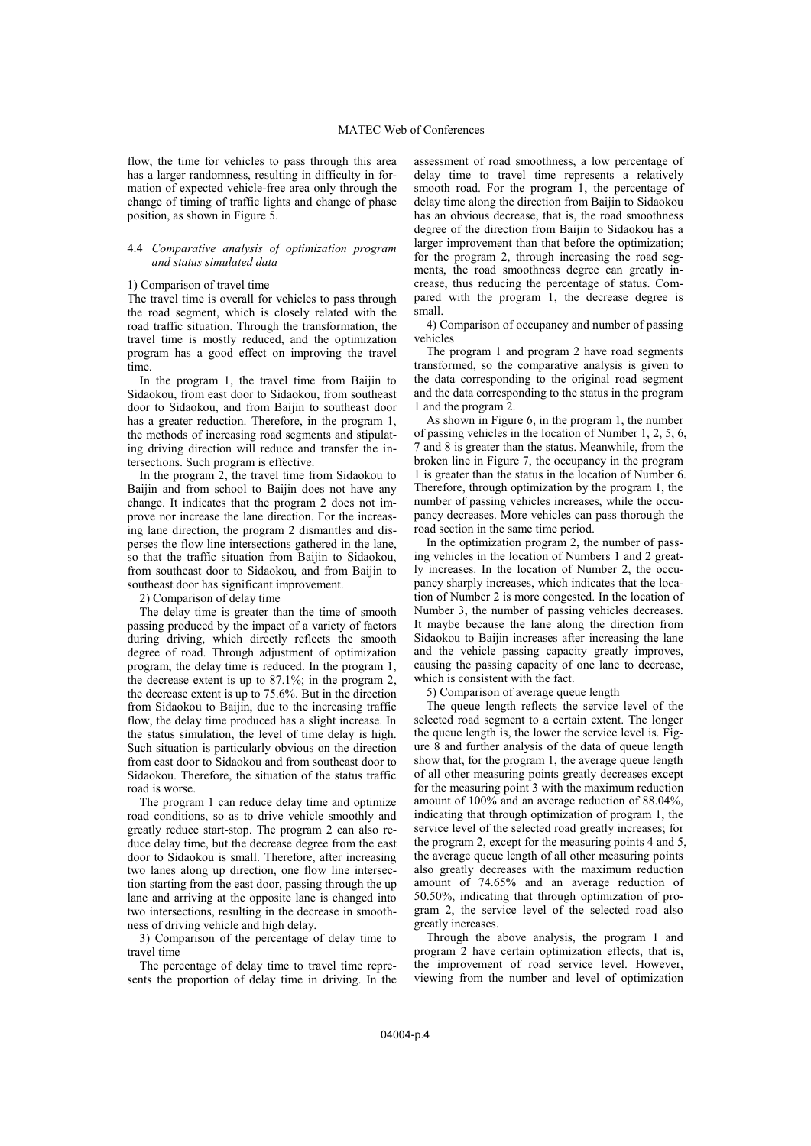flow, the time for vehicles to pass through this area has a larger randomness, resulting in difficulty in formation of expected vehicle-free area only through the change of timing of traffic lights and change of phase position, as shown in Figure 5.

#### 4.4 *Comparative analysis of optimization program and status simulated data*

#### 1) Comparison of travel time

The travel time is overall for vehicles to pass through the road segment, which is closely related with the road traffic situation. Through the transformation, the travel time is mostly reduced, and the optimization program has a good effect on improving the travel time.

In the program 1, the travel time from Baijin to Sidaokou, from east door to Sidaokou, from southeast door to Sidaokou, and from Baijin to southeast door has a greater reduction. Therefore, in the program 1, the methods of increasing road segments and stipulating driving direction will reduce and transfer the intersections. Such program is effective.

In the program 2, the travel time from Sidaokou to Baijin and from school to Baijin does not have any change. It indicates that the program 2 does not improve nor increase the lane direction. For the increasing lane direction, the program 2 dismantles and disperses the flow line intersections gathered in the lane, so that the traffic situation from Baijin to Sidaokou, from southeast door to Sidaokou, and from Baijin to southeast door has significant improvement.

2) Comparison of delay time

The delay time is greater than the time of smooth passing produced by the impact of a variety of factors during driving, which directly reflects the smooth degree of road. Through adjustment of optimization program, the delay time is reduced. In the program 1, the decrease extent is up to 87.1%; in the program 2, the decrease extent is up to 75.6%. But in the direction from Sidaokou to Baijin, due to the increasing traffic flow, the delay time produced has a slight increase. In the status simulation, the level of time delay is high. Such situation is particularly obvious on the direction from east door to Sidaokou and from southeast door to Sidaokou. Therefore, the situation of the status traffic road is worse.

The program 1 can reduce delay time and optimize road conditions, so as to drive vehicle smoothly and greatly reduce start-stop. The program 2 can also reduce delay time, but the decrease degree from the east door to Sidaokou is small. Therefore, after increasing two lanes along up direction, one flow line intersection starting from the east door, passing through the up lane and arriving at the opposite lane is changed into two intersections, resulting in the decrease in smoothness of driving vehicle and high delay.

3) Comparison of the percentage of delay time to travel time

The percentage of delay time to travel time represents the proportion of delay time in driving. In the assessment of road smoothness, a low percentage of delay time to travel time represents a relatively smooth road. For the program 1, the percentage of delay time along the direction from Baijin to Sidaokou has an obvious decrease, that is, the road smoothness degree of the direction from Baijin to Sidaokou has a larger improvement than that before the optimization; for the program 2, through increasing the road segments, the road smoothness degree can greatly increase, thus reducing the percentage of status. Compared with the program 1, the decrease degree is small.

4) Comparison of occupancy and number of passing vehicles

The program 1 and program 2 have road segments transformed, so the comparative analysis is given to the data corresponding to the original road segment and the data corresponding to the status in the program 1 and the program 2.

As shown in Figure 6, in the program 1, the number of passing vehicles in the location of Number 1, 2, 5, 6, 7 and 8 is greater than the status. Meanwhile, from the broken line in Figure 7, the occupancy in the program 1 is greater than the status in the location of Number 6. Therefore, through optimization by the program 1, the number of passing vehicles increases, while the occupancy decreases. More vehicles can pass thorough the road section in the same time period.

In the optimization program 2, the number of passing vehicles in the location of Numbers 1 and 2 greatly increases. In the location of Number 2, the occupancy sharply increases, which indicates that the location of Number 2 is more congested. In the location of Number 3, the number of passing vehicles decreases. It maybe because the lane along the direction from Sidaokou to Baijin increases after increasing the lane and the vehicle passing capacity greatly improves, causing the passing capacity of one lane to decrease, which is consistent with the fact.

5) Comparison of average queue length

The queue length reflects the service level of the selected road segment to a certain extent. The longer the queue length is, the lower the service level is. Figure 8 and further analysis of the data of queue length show that, for the program 1, the average queue length of all other measuring points greatly decreases except for the measuring point 3 with the maximum reduction amount of 100% and an average reduction of 88.04%, indicating that through optimization of program 1, the service level of the selected road greatly increases; for the program 2, except for the measuring points 4 and 5, the average queue length of all other measuring points also greatly decreases with the maximum reduction amount of 74.65% and an average reduction of 50.50%, indicating that through optimization of program 2, the service level of the selected road also greatly increases.

Through the above analysis, the program 1 and program 2 have certain optimization effects, that is, the improvement of road service level. However, viewing from the number and level of optimization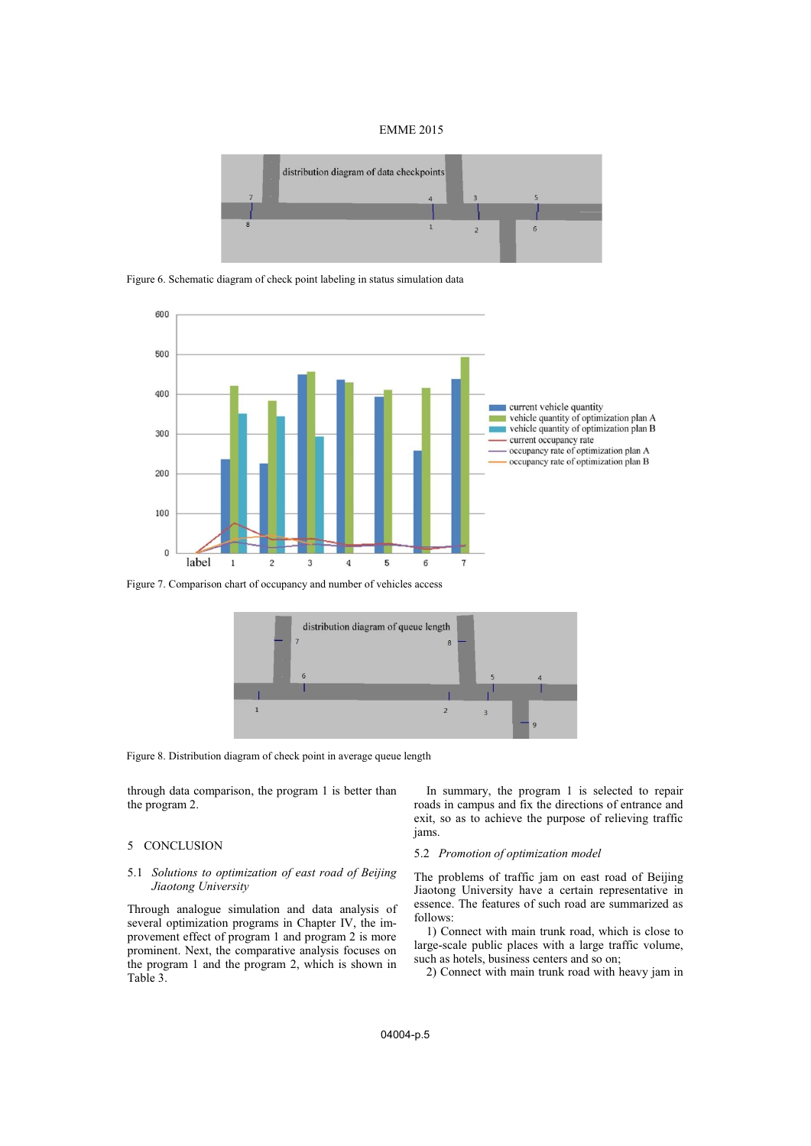# EMME 2015



Figure 6. Schematic diagram of check point labeling in status simulation data



Figure 7. Comparison chart of occupancy and number of vehicles access



Figure 8. Distribution diagram of check point in average queue length

through data comparison, the program 1 is better than the program 2.

# 5 CONCLUSION

# 5.1 *Solutions to optimization of east road of Beijing Jiaotong University*

Through analogue simulation and data analysis of several optimization programs in Chapter IV, the improvement effect of program 1 and program 2 is more prominent. Next, the comparative analysis focuses on the program 1 and the program 2, which is shown in Table 3.

In summary, the program 1 is selected to repair roads in campus and fix the directions of entrance and exit, so as to achieve the purpose of relieving traffic jams.

#### 5.2 *Promotion of optimization model*

The problems of traffic jam on east road of Beijing Jiaotong University have a certain representative in essence. The features of such road are summarized as follows:

1) Connect with main trunk road, which is close to large-scale public places with a large traffic volume, such as hotels, business centers and so on;

2) Connect with main trunk road with heavy jam in